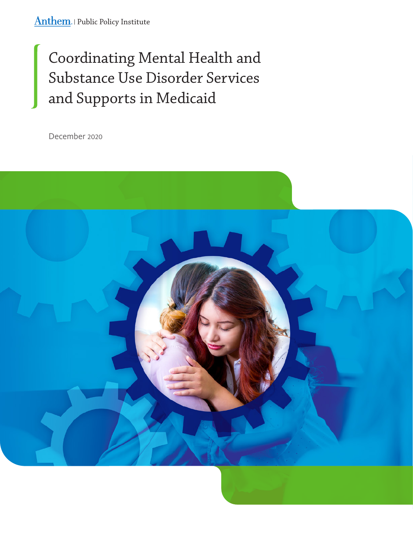# Coordinating Mental Health and Substance Use Disorder Services and Supports in Medicaid

December 2020

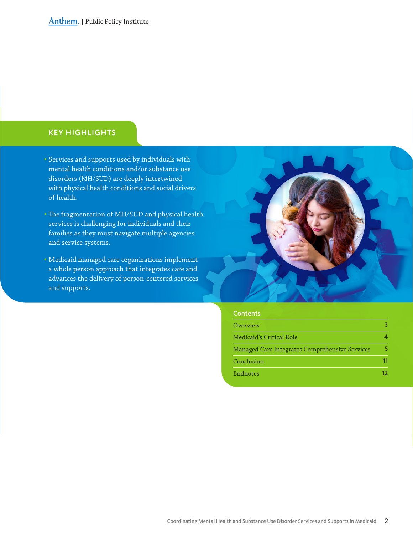### KEY HIGHLIGHTS

- Services and supports used by individuals with mental health conditions and/or substance use disorders (MH/SUD) are deeply intertwined with physical health conditions and social drivers of health.
- The fragmentation of MH/SUD and physical health services is challenging for individuals and their families as they must navigate multiple agencies and service systems.
- Medicaid managed care organizations implement a whole person approach that integrates care and advances the delivery of person-centered services and supports.



| <b>Contents</b>                                |    |
|------------------------------------------------|----|
| Overview                                       |    |
| Medicaid's Critical Role                       |    |
| Managed Care Integrates Comprehensive Services |    |
| Conclusion                                     |    |
| Endnotes                                       | 17 |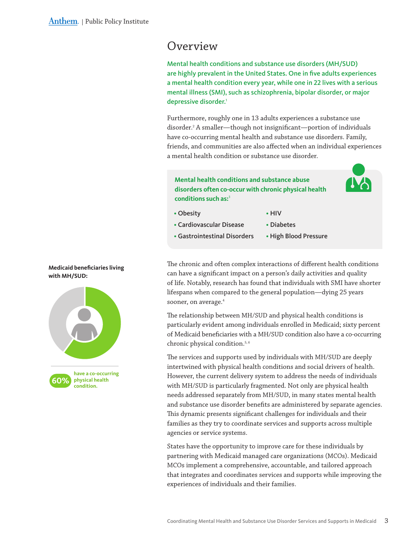## <span id="page-2-0"></span>Overview

Mental health conditions and substance use disorders (MH/SUD) are highly prevalent in the United States. One in five adults experiences a mental health condition every year, while one in 22 lives with a serious mental illness (SMI), such as schizophrenia, bipolar disorder, or major depressive disorder.<sup>1</sup>

Furthermore, roughly one in 13 adults experiences a substance use disorder.2 A smaller—though not insignificant—portion of individuals have co-occurring mental health and substance use disorders. Family, friends, and communities are also affected when an individual experiences a mental health condition or substance use disorder.

**Mental health conditions and substance abuse disorders often co-occur with chronic physical health conditions such as:**<sup>3</sup>

- Obesity
- HIV
- Cardiovascular Disease
- Diabetes
- High Blood Pressure • Gastrointestinal Disorders

The chronic and often complex interactions of different health conditions can have a significant impact on a person's daily activities and quality of life. Notably, research has found that individuals with SMI have shorter lifespans when compared to the general population—dying 25 years sooner, on average.<sup>4</sup>

The relationship between MH/SUD and physical health conditions is particularly evident among individuals enrolled in Medicaid; sixty percent of Medicaid beneficiaries with a MH/SUD condition also have a co-occurring chronic physical condition.<sup>5, 6</sup>

The services and supports used by individuals with MH/SUD are deeply intertwined with physical health conditions and social drivers of health. However, the current delivery system to address the needs of individuals with MH/SUD is particularly fragmented. Not only are physical health needs addressed separately from MH/SUD, in many states mental health and substance use disorder benefits are administered by separate agencies. This dynamic presents significant challenges for individuals and their families as they try to coordinate services and supports across multiple agencies or service systems.

States have the opportunity to improve care for these individuals by partnering with Medicaid managed care organizations (MCOs). Medicaid MCOs implement a comprehensive, accountable, and tailored approach that integrates and coordinates services and supports while improving the experiences of individuals and their families.

#### **Medicaid beneficiaries living with MH/SUD:**

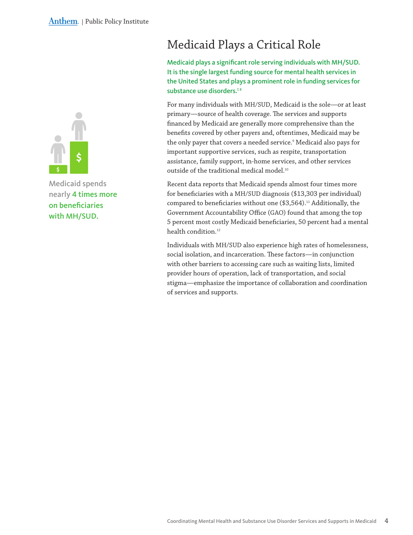<span id="page-3-0"></span>

Medicaid spends nearly 4 times more on beneficiaries with MH/SUD.

# Medicaid Plays a Critical Role

Medicaid plays a significant role serving individuals with MH/SUD. It is the single largest funding source for mental health services in the United States and plays a prominent role in funding services for substance use disorders.<sup>7,8</sup>

For many individuals with MH/SUD, Medicaid is the sole—or at least primary—source of health coverage. The services and supports financed by Medicaid are generally more comprehensive than the benefits covered by other payers and, oftentimes, Medicaid may be the only payer that covers a needed service.9 Medicaid also pays for important supportive services, such as respite, transportation assistance, family support, in-home services, and other services outside of the traditional medical model.10

Recent data reports that Medicaid spends almost four times more for beneficiaries with a MH/SUD diagnosis (\$13,303 per individual) compared to beneficiaries without one  $($3,564).$ <sup>11</sup> Additionally, the Government Accountability Office (GAO) found that among the top 5 percent most costly Medicaid beneficiaries, 50 percent had a mental health condition.<sup>12</sup>

Individuals with MH/SUD also experience high rates of homelessness, social isolation, and incarceration. These factors—in conjunction with other barriers to accessing care such as waiting lists, limited provider hours of operation, lack of transportation, and social stigma—emphasize the importance of collaboration and coordination of services and supports.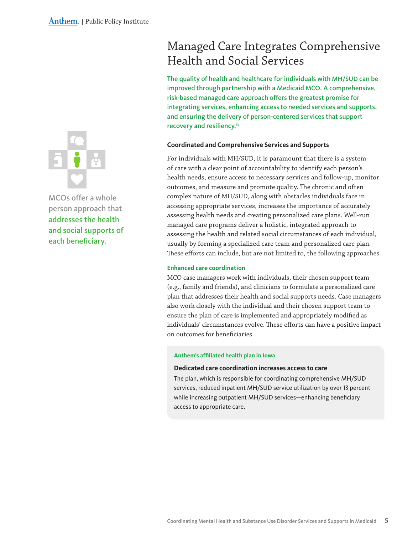<span id="page-4-0"></span>

MCOs offer a whole person approach that addresses the health and social supports of each beneficiary.

# Managed Care Integrates Comprehensive Health and Social Services

The quality of health and healthcare for individuals with MH/SUD can be improved through partnership with a Medicaid MCO. A comprehensive, risk-based managed care approach offers the greatest promise for integrating services, enhancing access to needed services and supports, and ensuring the delivery of person-centered services that support recovery and resiliency.<sup>13</sup>

#### **Coordinated and Comprehensive Services and Supports**

For individuals with MH/SUD, it is paramount that there is a system of care with a clear point of accountability to identify each person's health needs, ensure access to necessary services and follow-up, monitor outcomes, and measure and promote quality. The chronic and often complex nature of MH/SUD, along with obstacles individuals face in accessing appropriate services, increases the importance of accurately assessing health needs and creating personalized care plans. Well-run managed care programs deliver a holistic, integrated approach to assessing the health and related social circumstances of each individual, usually by forming a specialized care team and personalized care plan. These efforts can include, but are not limited to, the following approaches.

#### **Enhanced care coordination**

MCO case managers work with individuals, their chosen support team (e.g., family and friends), and clinicians to formulate a personalized care plan that addresses their health and social supports needs. Case managers also work closely with the individual and their chosen support team to ensure the plan of care is implemented and appropriately modified as individuals' circumstances evolve. These efforts can have a positive impact on outcomes for beneficiaries.

#### **Anthem's affiliated health plan in Iowa**

#### **Dedicated care coordination increases access to care**

The plan, which is responsible for coordinating comprehensive MH/SUD services, reduced inpatient MH/SUD service utilization by over 13 percent while increasing outpatient MH/SUD services—enhancing beneficiary access to appropriate care.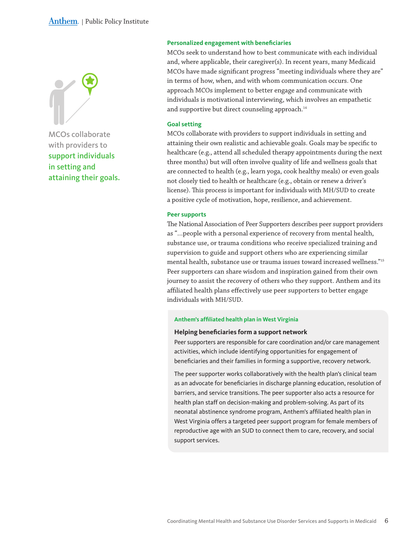#### Anthem. | Public Policy Institute



MCOs collaborate with providers to support individuals in setting and attaining their goals.

#### **Personalized engagement with beneficiaries**

MCOs seek to understand how to best communicate with each individual and, where applicable, their caregiver(s). In recent years, many Medicaid MCOs have made significant progress "meeting individuals where they are" in terms of how, when, and with whom communication occurs. One approach MCOs implement to better engage and communicate with individuals is motivational interviewing, which involves an empathetic and supportive but direct counseling approach.<sup>14</sup>

#### **Goal setting**

MCOs collaborate with providers to support individuals in setting and attaining their own realistic and achievable goals. Goals may be specific to healthcare (e.g., attend all scheduled therapy appointments during the next three months) but will often involve quality of life and wellness goals that are connected to health (e.g., learn yoga, cook healthy meals) or even goals not closely tied to health or healthcare (e.g., obtain or renew a driver's license). This process is important for individuals with MH/SUD to create a positive cycle of motivation, hope, resilience, and achievement.

#### **Peer supports**

The National Association of Peer Supporters describes peer support providers as "…people with a personal experience of recovery from mental health, substance use, or trauma conditions who receive specialized training and supervision to guide and support others who are experiencing similar mental health, substance use or trauma issues toward increased wellness."15 Peer supporters can share wisdom and inspiration gained from their own journey to assist the recovery of others who they support. Anthem and its affiliated health plans effectively use peer supporters to better engage individuals with MH/SUD.

#### **Anthem's affiliated health plan in West Virginia**

#### **Helping beneficiaries form a support network**

Peer supporters are responsible for care coordination and/or care management activities, which include identifying opportunities for engagement of beneficiaries and their families in forming a supportive, recovery network.

The peer supporter works collaboratively with the health plan's clinical team as an advocate for beneficiaries in discharge planning education, resolution of barriers, and service transitions. The peer supporter also acts a resource for health plan staff on decision-making and problem-solving. As part of its neonatal abstinence syndrome program, Anthem's affiliated health plan in West Virginia offers a targeted peer support program for female members of reproductive age with an SUD to connect them to care, recovery, and social support services.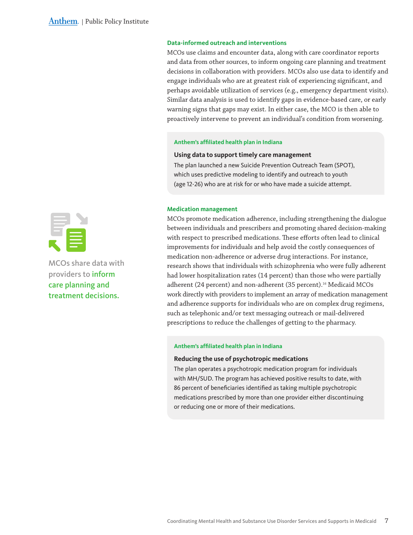#### **Data-informed outreach and interventions**

MCOs use claims and encounter data, along with care coordinator reports and data from other sources, to inform ongoing care planning and treatment decisions in collaboration with providers. MCOs also use data to identify and engage individuals who are at greatest risk of experiencing significant, and perhaps avoidable utilization of services (e.g., emergency department visits). Similar data analysis is used to identify gaps in evidence-based care, or early warning signs that gaps may exist. In either case, the MCO is then able to proactively intervene to prevent an individual's condition from worsening.

#### **Anthem's affiliated health plan in Indiana**

#### **Using data to support timely care management**

The plan launched a new Suicide Prevention Outreach Team (SPOT), which uses predictive modeling to identify and outreach to youth (age 12-26) who are at risk for or who have made a suicide attempt.

#### **Medication management**

MCOs promote medication adherence, including strengthening the dialogue between individuals and prescribers and promoting shared decision-making with respect to prescribed medications. These efforts often lead to clinical improvements for individuals and help avoid the costly consequences of medication non-adherence or adverse drug interactions. For instance, research shows that individuals with schizophrenia who were fully adherent had lower hospitalization rates (14 percent) than those who were partially adherent (24 percent) and non-adherent (35 percent).<sup>16</sup> Medicaid MCOs work directly with providers to implement an array of medication management and adherence supports for individuals who are on complex drug regimens, such as telephonic and/or text messaging outreach or mail-delivered prescriptions to reduce the challenges of getting to the pharmacy.

#### **Anthem's affiliated health plan in Indiana**

#### **Reducing the use of psychotropic medications**

The plan operates a psychotropic medication program for individuals with MH/SUD. The program has achieved positive results to date, with 86 percent of beneficiaries identified as taking multiple psychotropic medications prescribed by more than one provider either discontinuing or reducing one or more of their medications.



MCOs share data with providers to inform care planning and treatment decisions.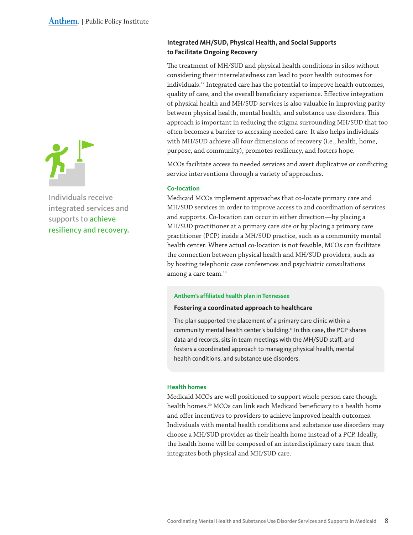

Individuals receive integrated services and supports to achieve resiliency and recovery.

### **Integrated MH/SUD, Physical Health, and Social Supports to Facilitate Ongoing Recovery**

The treatment of MH/SUD and physical health conditions in silos without considering their interrelatedness can lead to poor health outcomes for individuals.17 Integrated care has the potential to improve health outcomes, quality of care, and the overall beneficiary experience. Effective integration of physical health and MH/SUD services is also valuable in improving parity between physical health, mental health, and substance use disorders. This approach is important in reducing the stigma surrounding MH/SUD that too often becomes a barrier to accessing needed care. It also helps individuals with MH/SUD achieve all four dimensions of recovery (i.e., health, home, purpose, and community), promotes resiliency, and fosters hope.

MCOs facilitate access to needed services and avert duplicative or conflicting service interventions through a variety of approaches.

#### **Co-location**

Medicaid MCOs implement approaches that co-locate primary care and MH/SUD services in order to improve access to and coordination of services and supports. Co-location can occur in either direction—by placing a MH/SUD practitioner at a primary care site or by placing a primary care practitioner (PCP) inside a MH/SUD practice, such as a community mental health center. Where actual co-location is not feasible, MCOs can facilitate the connection between physical health and MH/SUD providers, such as by hosting telephonic case conferences and psychiatric consultations among a care team.<sup>18</sup>

#### **Anthem's affiliated health plan in Tennessee**

#### **Fostering a coordinated approach to healthcare**

The plan supported the placement of a primary care clinic within a community mental health center's building.<sup>19</sup> In this case, the PCP shares data and records, sits in team meetings with the MH/SUD staff, and fosters a coordinated approach to managing physical health, mental health conditions, and substance use disorders.

#### **Health homes**

Medicaid MCOs are well positioned to support whole person care though health homes.<sup>20</sup> MCOs can link each Medicaid beneficiary to a health home and offer incentives to providers to achieve improved health outcomes. Individuals with mental health conditions and substance use disorders may choose a MH/SUD provider as their health home instead of a PCP. Ideally, the health home will be composed of an interdisciplinary care team that integrates both physical and MH/SUD care.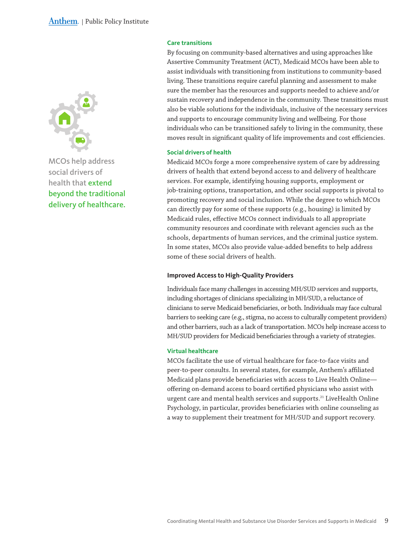

MCOs help address social drivers of health that extend beyond the traditional delivery of healthcare.

#### **Care transitions**

By focusing on community-based alternatives and using approaches like Assertive Community Treatment (ACT), Medicaid MCOs have been able to assist individuals with transitioning from institutions to community-based living. These transitions require careful planning and assessment to make sure the member has the resources and supports needed to achieve and/or sustain recovery and independence in the community. These transitions must also be viable solutions for the individuals, inclusive of the necessary services and supports to encourage community living and wellbeing. For those individuals who can be transitioned safely to living in the community, these moves result in significant quality of life improvements and cost efficiencies.

#### **Social drivers of health**

Medicaid MCOs forge a more comprehensive system of care by addressing drivers of health that extend beyond access to and delivery of healthcare services. For example, identifying housing supports, employment or job-training options, transportation, and other social supports is pivotal to promoting recovery and social inclusion. While the degree to which MCOs can directly pay for some of these supports (e.g., housing) is limited by Medicaid rules, effective MCOs connect individuals to all appropriate community resources and coordinate with relevant agencies such as the schools, departments of human services, and the criminal justice system. In some states, MCOs also provide value-added benefits to help address some of these social drivers of health.

#### **Improved Access to High-Quality Providers**

Individuals face many challenges in accessing MH/SUD services and supports, including shortages of clinicians specializing in MH/SUD, a reluctance of clinicians to serve Medicaid beneficiaries, or both. Individuals may face cultural barriers to seeking care (e.g., stigma, no access to culturally competent providers) and other barriers, such as a lack of transportation. MCOs help increase access to MH/SUD providers for Medicaid beneficiaries through a variety of strategies.

#### **Virtual healthcare**

MCOs facilitate the use of virtual healthcare for face-to-face visits and peer-to-peer consults. In several states, for example, Anthem's affiliated Medicaid plans provide beneficiaries with access to Live Health Online offering on-demand access to board certified physicians who assist with urgent care and mental health services and supports.<sup>21</sup> LiveHealth Online Psychology, in particular, provides beneficiaries with online counseling as a way to supplement their treatment for MH/SUD and support recovery.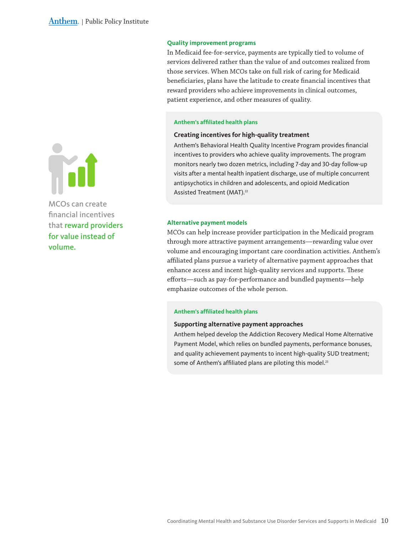#### **Quality improvement programs**

In Medicaid fee-for-service, payments are typically tied to volume of services delivered rather than the value of and outcomes realized from those services. When MCOs take on full risk of caring for Medicaid beneficiaries, plans have the latitude to create financial incentives that reward providers who achieve improvements in clinical outcomes, patient experience, and other measures of quality.

#### **Anthem's affiliated health plans**

#### **Creating incentives for high-quality treatment**

Anthem's Behavioral Health Quality Incentive Program provides financial incentives to providers who achieve quality improvements. The program monitors nearly two dozen metrics, including 7-day and 30-day follow-up visits after a mental health inpatient discharge, use of multiple concurrent antipsychotics in children and adolescents, and opioid Medication Assisted Treatment (MAT).<sup>22</sup>

#### **Alternative payment models**

MCOs can help increase provider participation in the Medicaid program through more attractive payment arrangements—rewarding value over volume and encouraging important care coordination activities. Anthem's affiliated plans pursue a variety of alternative payment approaches that enhance access and incent high-quality services and supports. These efforts—such as pay-for-performance and bundled payments—help emphasize outcomes of the whole person.

#### **Anthem's affiliated health plans**

#### **Supporting alternative payment approaches**

Anthem helped develop the Addiction Recovery Medical Home Alternative Payment Model, which relies on bundled payments, performance bonuses, and quality achievement payments to incent high-quality SUD treatment; some of Anthem's affiliated plans are piloting this model.<sup>23</sup>



MCOs can create financial incentives that reward providers for value instead of volume.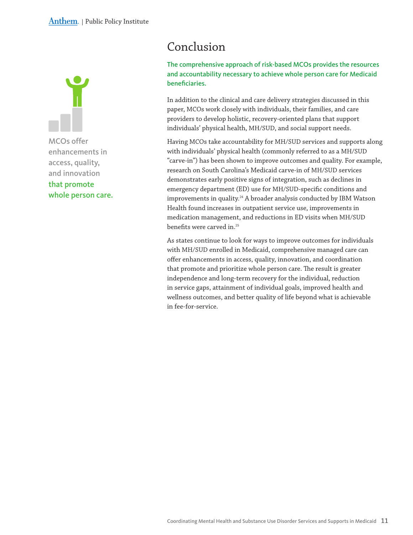<span id="page-10-0"></span>

MCOs offer enhancements in access, quality, and innovation that promote whole person care.

# Conclusion

The comprehensive approach of risk-based MCOs provides the resources and accountability necessary to achieve whole person care for Medicaid beneficiaries.

In addition to the clinical and care delivery strategies discussed in this paper, MCOs work closely with individuals, their families, and care providers to develop holistic, recovery-oriented plans that support individuals' physical health, MH/SUD, and social support needs.

Having MCOs take accountability for MH/SUD services and supports along with individuals' physical health (commonly referred to as a MH/SUD "carve-in") has been shown to improve outcomes and quality. For example, research on South Carolina's Medicaid carve-in of MH/SUD services demonstrates early positive signs of integration, such as declines in emergency department (ED) use for MH/SUD-specific conditions and improvements in quality.<sup>24</sup> A broader analysis conducted by IBM Watson Health found increases in outpatient service use, improvements in medication management, and reductions in ED visits when MH/SUD benefits were carved in.<sup>25</sup>

As states continue to look for ways to improve outcomes for individuals with MH/SUD enrolled in Medicaid, comprehensive managed care can offer enhancements in access, quality, innovation, and coordination that promote and prioritize whole person care. The result is greater independence and long-term recovery for the individual, reduction in service gaps, attainment of individual goals, improved health and wellness outcomes, and better quality of life beyond what is achievable in fee-for-service.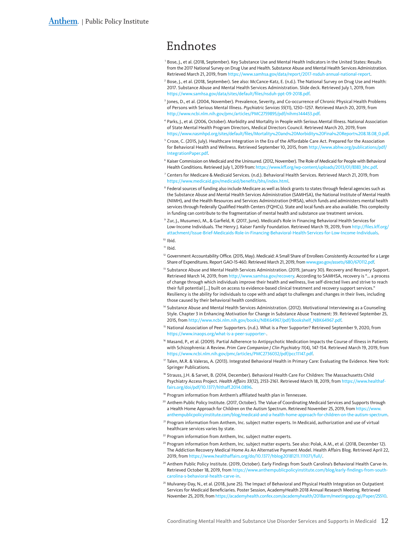### <span id="page-11-0"></span>Endnotes

- <sup>1</sup> Bose, J., et al. (2018, September). Key Substance Use and Mental Health Indicators in the United States: Results from the 2017 National Survey on Drug Use and Health. Substance Abuse and Mental Health Services Administration. Retrieved March 21, 2019, from [https://www.samhsa.gov/data/report/](https://www.samhsa.gov/data/report/2017-nsduh-annual-national-report)2017-nsduh-annual-national-report.
- $^2$  Bose, J., et al. (2018, September). See also: McCance-Katz, E. (n.d.). The National Survey on Drug Use and Health: 2017. Substance Abuse and Mental Health Services Administration. Slide deck. Retrieved July 1, 2019, from [https://www.samhsa.gov/data/sites/default/files/nsduh-ppt-](https://www.samhsa.gov/data/sites/default/files/nsduh-ppt-09-2018.pdf)09-2018.pdf.
- <sup>3</sup> Jones, D., et al. (2004, November). Prevalence, Severity, and Co-occurrence of Chronic Physical Health Problems of Persons with Serious Mental Illness. *Psychiatric Services 55*(11), 1250–1257. Retrieved March 20, 2019, from [http://www.ncbi.nlm.nih.gov/pmc/articles/PMC](http://www.ncbi.nlm.nih.gov/pmc/articles/PMC2759895/pdf/nihms144453.pdf)2759895/pdf/nihms144453.pdf.
- <sup>4</sup> Parks, J., et al. (2006, October). Morbidity and Mortality in People with Serious Mental Illness. National Association of State Mental Health Program Directors, Medical Directors Council. Retrieved March 20, 2019, from [https://www.nasmhpd.org/sites/default/files/Mortality%](https://www.nasmhpd.org/sites/default/files/Mortality%20and%20Morbidity%20Final%20Report%208.18.08_0.pdf)20and%20Morbidity%20Final%20Report%208.18.08\_0.pdf.
- <sup>5</sup> Croze, C. (2015, July). Healthcare Integration in the Era of the Affordable Care Act. Prepared for the Association for Behavioral Health and Wellness. Retrieved September 10, 2015, from [http://www.abhw.org/publications/pdf/](http://www.abhw.org/publications/pdf/IntegrationPaper.pdf) [IntegrationPaper.pdf](http://www.abhw.org/publications/pdf/IntegrationPaper.pdf).
- $6$  Kaiser Commission on Medicaid and the Uninsured. (2012, November). The Role of Medicaid for People with Behavioral Health Conditions. Retrieved July 1, 2019 from: [https://www.kff.org/wp-content/uploads/](https://www.kff.org/wp-content/uploads/2013/01/8383_bhc.pdf)2013/01/8383\_bhc.pdf.
- <sup>7</sup> Centers for Medicare & Medicaid Services. (n.d.). Behavioral Health Services. Retrieved March 21, 2019, from [https://www.medicaid.gov/medicaid/benefits/bhs/index.html.](https://www.medicaid.gov/medicaid/benefits/bhs/index.html)
- <sup>8</sup> Federal sources of funding also include Medicare as well as block grants to states through federal agencies such as the Substance Abuse and Mental Health Services Administration (SAMHSA), the National Institute of Mental Health (NIMH), and the Health Resources and Services Administration (HRSA), which funds and administers mental health services through Federally Qualified Health Centers (FQHCs). State and local funds are also available. This complexity in funding can contribute to the fragmentation of mental health and substance use treatment services.
- <sup>9</sup> Zur, J., Musumeci, M., & Garfield, R. (2017, June). Medicaid's Role in Financing Behavioral Health Services for Low-Income Individuals. The Henry J. Kaiser Family Foundation. Retrieved March 19, 2019, from [http://files.kff.org/](http://files.kff.org/attachment/Issue-Brief-Medicaids-Role-in-Financing-Behavioral-Health-Services-for-Low-Income-Individuals) [attachment/Issue-Brief-Medicaids-Role-in-Financing-Behavioral-Health-Services-for-Low-Income-Individuals.](http://files.kff.org/attachment/Issue-Brief-Medicaids-Role-in-Financing-Behavioral-Health-Services-for-Low-Income-Individuals)

```
10 Ibid.
```

```
<sup>11</sup> Ibid.</sup>
```
- <sup>12</sup> Government Accountability Office. (2015, May). Medicaid: A Small Share of Enrollees Consistently Accounted for a Large Share of Expenditures. Report GAO-15-460. Retrieved March 21, 2019, from [www.gao.gov/assets/](http://www.gao.gov/assets/680/670112.pdf)680/670112.pdf.
- <sup>13</sup> Substance Abuse and Mental Health Services Administration. (2019, January 30). Recovery and Recovery Support. Retrieved March 14, 2019, from <http://www.samhsa.gov/recovery>. According to SAMHSA, recovery is "… a process of change through which individuals improve their health and wellness, live self-directed lives and strive to reach their full potential [...] built on access to evidence-based clinical treatment and recovery support services." Resiliency is the ability for individuals to cope with and adapt to challenges and changes in their lives, including those caused by their behavioral health conditions.
- <sup>14</sup> Substance Abuse and Mental Health Services Administration. (2012). Motivational Interviewing as a Counseling Style. Chapter 3 in Enhancing Motivation for Change in Substance Abuse Treatment: 39. Retrieved September 25, 2015, from [http://www.ncbi.nlm.nih.gov/books/NBK](http://www.ncbi.nlm.nih.gov/books/NBK64967/pdf/Bookshelf_NBK64967.pdf)64967/pdf/Bookshelf\_NBK64967.pdf.
- <sup>15</sup> National Association of Peer Supporters. (n.d.). What is a Peer Supporter? Retrieved September 9, 2020, from [https://www.inaops.org/what-is-a-peer-supporter-.](https://www.inaops.org/what-is-a-peer-supporter-)
- <sup>16</sup> Masand, P., et al. (2009). Partial Adherence to Antipsychotic Medication Impacts the Course of Illness in Patients with Schizophrenia: A Review. *Prim Care Companion J Clin Psychiatry 11*(4), 147-154. Retrieved March 19, 2019, from [https://www.ncbi.nlm.nih.gov/pmc/articles/PMC](https://www.ncbi.nlm.nih.gov/pmc/articles/PMC2736032/pdf/pcc11147.pdf)2736032/pdf/pcc11147.pdf.
- $17$  Talen, M.R. & Valeras, A. (2013). Integrated Behavioral Health in Primary Care: Evaluating the Evidence. New York: Springer Publications.
- <sup>18</sup> Strauss, J.H. & Sarvet, B. (2014, December). Behavioral Health Care For Children: The Massachusetts Child Psychiatry Access Project. *Health Affairs 33*(12), 2153-2161. Retrieved March 18, 2019, from [https://www.healthaf](https://www.healthaffairs.org/doi/pdf/10.1377/hlthaff.2014.0896)[fairs.org/doi/pdf/](https://www.healthaffairs.org/doi/pdf/10.1377/hlthaff.2014.0896)10.1377/hlthaff.2014.0896.
- <sup>19</sup> Program information from Anthem's affiliated health plan in Tennessee.
- <sup>20</sup> Anthem Public Policy Institute. (2017, October). The Value of Coordinating Medicaid Services and Supports through a Health Home Approach for Children on the Autism Spectrum. Retrieved November 25, 2019, from [https://www.](https://www.anthempublicpolicyinstitute.com/blog/medicaid-and-a-health-home-approach-for-children-on-the-autism-spectrum) [anthempublicpolicyinstitute.com/blog/medicaid-and-a-health-home-approach-for-children-on-the-autism-spectrum.](https://www.anthempublicpolicyinstitute.com/blog/medicaid-and-a-health-home-approach-for-children-on-the-autism-spectrum)
- <sup>21</sup> Program information from Anthem, Inc. subject matter experts. In Medicaid, authorization and use of virtual healthcare services varies by state.
- <sup>22</sup> Program information from Anthem, Inc. subject matter experts.
- $^{23}$  Program information from Anthem, Inc. subject matter experts. See also: Polak, A.M., et al. (2018, December 12). The Addiction Recovery Medical Home As An Alternative Payment Model. Health Affairs Blog. Retrieved April 22, 2019, from [https://www.healthaffairs.org/do/](https://www.healthaffairs.org/do/10.1377/hblog20181211.111071/full/)10.1377/hblog20181211.111071/full/.
- <sup>24</sup> Anthem Public Policy Institute. (2019, October). Early Findings from South Carolina's Behavioral Health Carve-In. Retrieved October 18, 2019, from [https://www.anthempublicpolicyinstitute.com/blog/early-findings-from-south](https://www.anthempublicpolicyinstitute.com/blog/early-findings-from-south-carolina-s-behavioral-health-carve-in)[carolina-s-behavioral-health-carve-in](https://www.anthempublicpolicyinstitute.com/blog/early-findings-from-south-carolina-s-behavioral-health-carve-in).
- $^{25}$  Mulvaney-Day, N., et al. (2018, June 25). The Impact of Behavioral and Physical Health Integration on Outpatient Services for Medicaid Beneficiaries. Poster Session, AcademyHealth 2018 Annual Research Meeting. Retrieved November 25, 2019, from [https://academyhealth.confex.com/academyhealth/](https://academyhealth.confex.com/academyhealth/2018arm/meetingapp.cgi/Paper/25510)2018arm/meetingapp.cgi/Paper/25510.